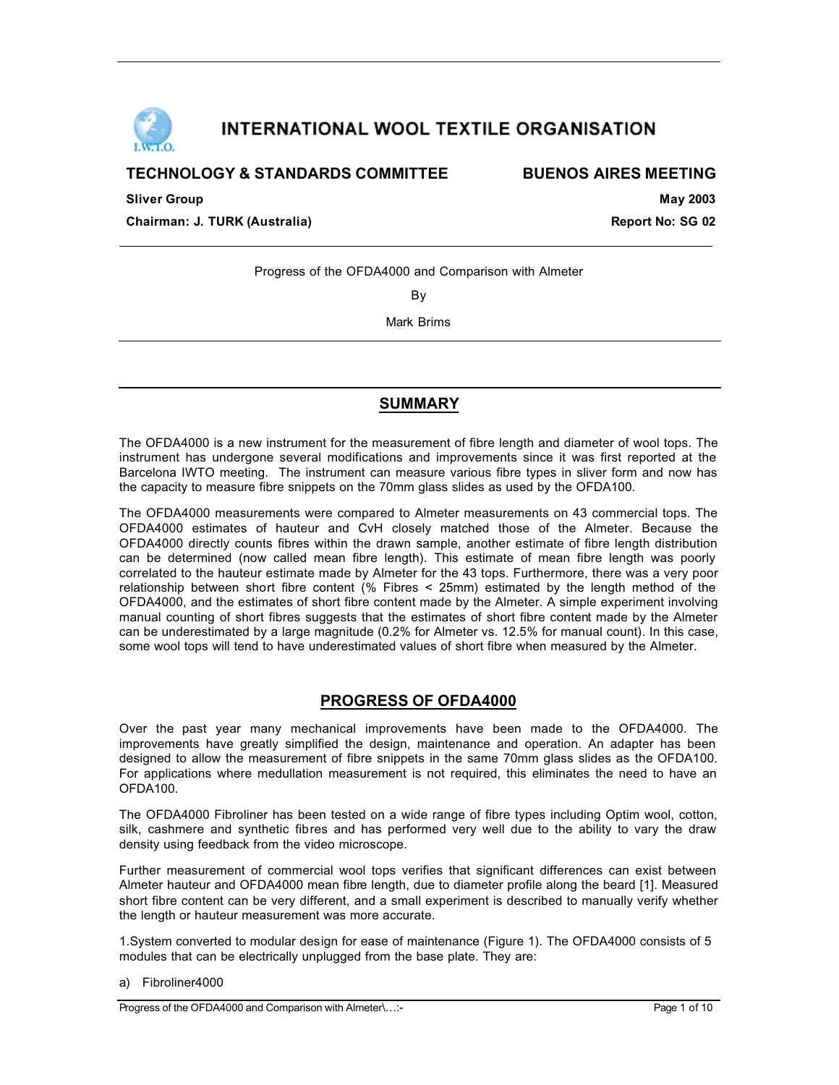

# INTERNATIONAL WOOL TEXTILE ORGANISATION

# **TECHNOLOGY & STANDARDS COMMITTEE BUENOS AIRES MEETING**

**Sliver Group May 2003** 

**Chairman: J. TURK (Australia) Report No: SG 02** 

Progress of the OFDA4000 and Comparison with Almeter

By

Mark Brims

# **SUMMARY**

The OFDA4000 is a new instrument for the measurement of fibre length and diameter of wool tops. The instrument has undergone several modifications and improvements since it was first reported at the Barcelona IWTO meeting. The instrument can measure various fibre types in sliver form and now has the capacity to measure fibre snippets on the 70mm glass slides as used by the OFDA100.

The OFDA4000 measurements were compared to Almeter measurements on 43 commercial tops. The OFDA4000 estimates of hauteur and CvH closely matched those of the Almeter. Because the OFDA4000 directly counts fibres within the drawn sample, another estimate of fibre length distribution can be determined (now called mean fibre length). This estimate of mean fibre length was poorly correlated to the hauteur estimate made by Almeter for the 43 tops. Furthermore, there was a very poor relationship between short fibre content (% Fibres < 25mm) estimated by the length method of the OFDA4000, and the estimates of short fibre content made by the Almeter. A simple experiment involving manual counting of short fibres suggests that the estimates of short fibre content made by the Almeter can be underestimated by a large magnitude (0.2% for Almeter vs. 12.5% for manual count). In this case, some wool tops will tend to have underestimated values of short fibre when measured by the Almeter.

# **PROGRESS OF OFDA4000**

Over the past year many mechanical improvements have been made to the OFDA4000. The improvements have greatly simplified the design, maintenance and operation. An adapter has been designed to allow the measurement of fibre snippets in the same 70mm glass slides as the OFDA100. For applications where medullation measurement is not required, this eliminates the need to have an OFDA100.

The OFDA4000 Fibroliner has been tested on a wide range of fibre types including Optim wool, cotton, silk, cashmere and synthetic fibres and has performed very well due to the ability to vary the draw density using feedback from the video microscope.

Further measurement of commercial wool tops verifies that significant differences can exist between Almeter hauteur and OFDA4000 mean fibre length, due to diameter profile along the beard [1]. Measured short fibre content can be very different, and a small experiment is described to manually verify whether the length or hauteur measurement was more accurate.

1.System converted to modular design for ease of maintenance (Figure 1). The OFDA4000 consists of 5 modules that can be electrically unplugged from the base plate. They are:

### a) Fibroliner4000

Progress of the OFDA4000 and Comparison with Almeter\…:- Page 1 of 10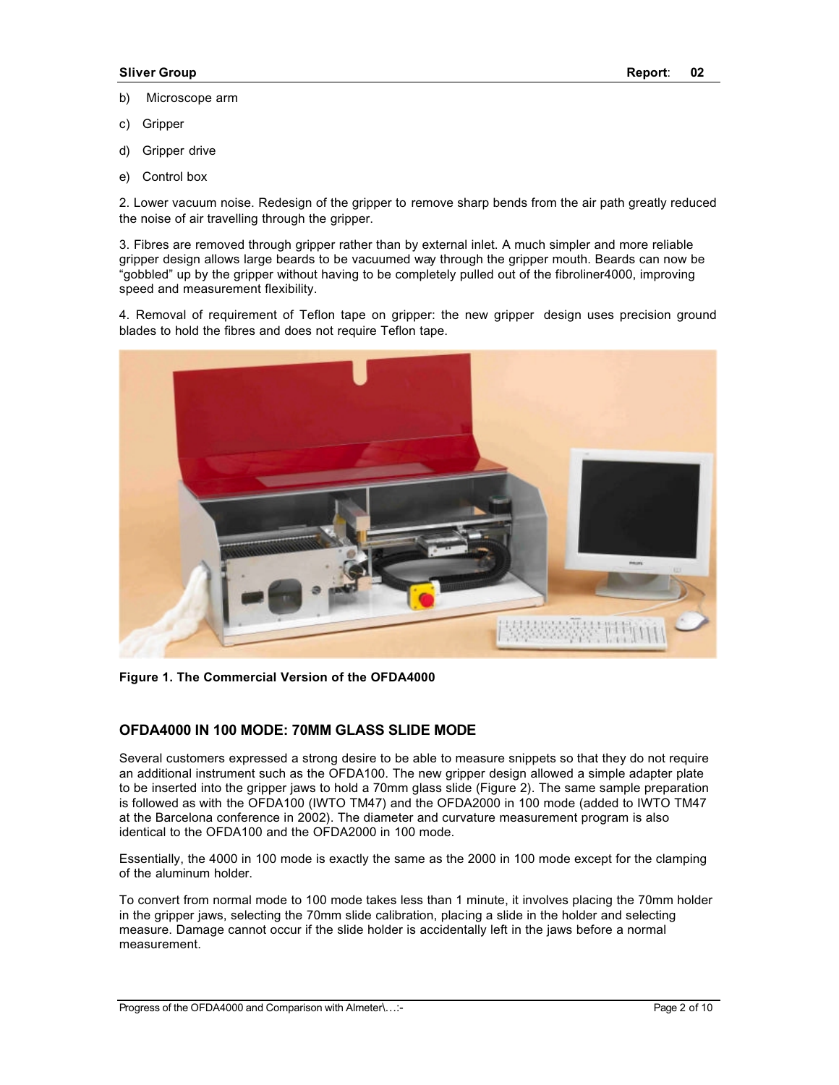- b) Microscope arm
- c) Gripper
- d) Gripper drive
- e) Control box

2. Lower vacuum noise. Redesign of the gripper to remove sharp bends from the air path greatly reduced the noise of air travelling through the gripper.

3. Fibres are removed through gripper rather than by external inlet. A much simpler and more reliable gripper design allows large beards to be vacuumed way through the gripper mouth. Beards can now be "gobbled" up by the gripper without having to be completely pulled out of the fibroliner4000, improving speed and measurement flexibility.

4. Removal of requirement of Teflon tape on gripper: the new gripper design uses precision ground blades to hold the fibres and does not require Teflon tape.



**Figure 1. The Commercial Version of the OFDA4000** 

### **OFDA4000 IN 100 MODE: 70MM GLASS SLIDE MODE**

Several customers expressed a strong desire to be able to measure snippets so that they do not require an additional instrument such as the OFDA100. The new gripper design allowed a simple adapter plate to be inserted into the gripper jaws to hold a 70mm glass slide (Figure 2). The same sample preparation is followed as with the OFDA100 (IWTO TM47) and the OFDA2000 in 100 mode (added to IWTO TM47 at the Barcelona conference in 2002). The diameter and curvature measurement program is also identical to the OFDA100 and the OFDA2000 in 100 mode.

Essentially, the 4000 in 100 mode is exactly the same as the 2000 in 100 mode except for the clamping of the aluminum holder.

To convert from normal mode to 100 mode takes less than 1 minute, it involves placing the 70mm holder in the gripper jaws, selecting the 70mm slide calibration, placing a slide in the holder and selecting measure. Damage cannot occur if the slide holder is accidentally left in the jaws before a normal measurement.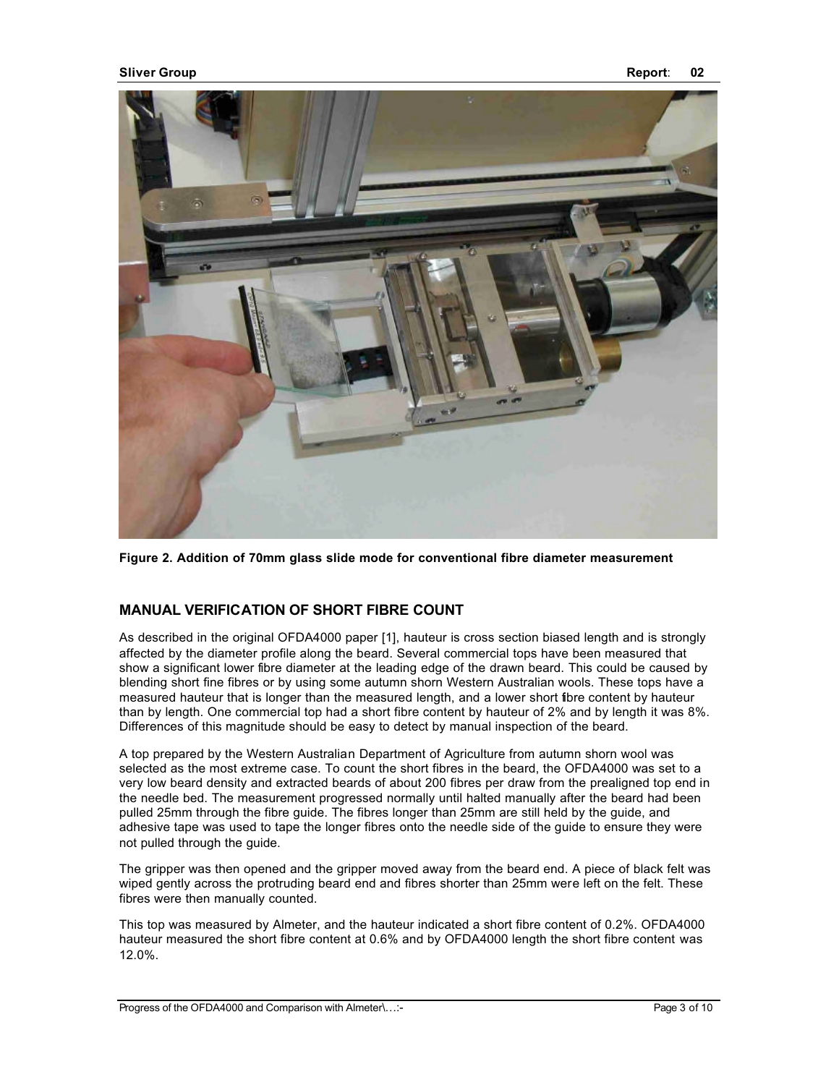

**Figure 2. Addition of 70mm glass slide mode for conventional fibre diameter measurement** 

# **MANUAL VERIFICATION OF SHORT FIBRE COUNT**

As described in the original OFDA4000 paper [1], hauteur is cross section biased length and is strongly affected by the diameter profile along the beard. Several commercial tops have been measured that show a significant lower fibre diameter at the leading edge of the drawn beard. This could be caused by blending short fine fibres or by using some autumn shorn Western Australian wools. These tops have a measured hauteur that is longer than the measured length, and a lower short fibre content by hauteur than by length. One commercial top had a short fibre content by hauteur of 2% and by length it was 8%. Differences of this magnitude should be easy to detect by manual inspection of the beard.

A top prepared by the Western Australian Department of Agriculture from autumn shorn wool was selected as the most extreme case. To count the short fibres in the beard, the OFDA4000 was set to a very low beard density and extracted beards of about 200 fibres per draw from the prealigned top end in the needle bed. The measurement progressed normally until halted manually after the beard had been pulled 25mm through the fibre guide. The fibres longer than 25mm are still held by the guide, and adhesive tape was used to tape the longer fibres onto the needle side of the guide to ensure they were not pulled through the guide.

The gripper was then opened and the gripper moved away from the beard end. A piece of black felt was wiped gently across the protruding beard end and fibres shorter than 25mm were left on the felt. These fibres were then manually counted.

This top was measured by Almeter, and the hauteur indicated a short fibre content of 0.2%. OFDA4000 hauteur measured the short fibre content at 0.6% and by OFDA4000 length the short fibre content was 12.0%.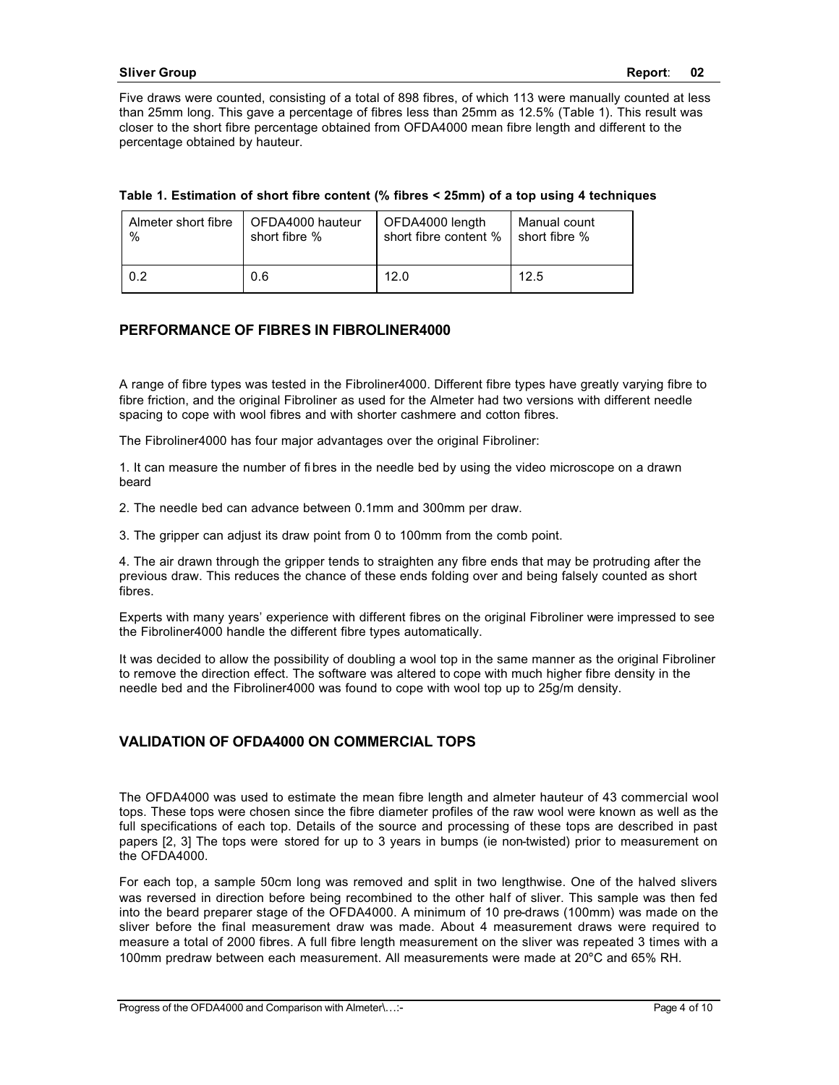Five draws were counted, consisting of a total of 898 fibres, of which 113 were manually counted at less than 25mm long. This gave a percentage of fibres less than 25mm as 12.5% (Table 1). This result was closer to the short fibre percentage obtained from OFDA4000 mean fibre length and different to the percentage obtained by hauteur.

| Table 1. Estimation of short fibre content (% fibres < 25mm) of a top using 4 techniques |  |  |
|------------------------------------------------------------------------------------------|--|--|
|------------------------------------------------------------------------------------------|--|--|

| Almeter short fibre<br>$\%$ | OFDA4000 hauteur<br>short fibre % | $\mid$ OFDA4000 length | Manual count<br>short fibre content % short fibre % |  |
|-----------------------------|-----------------------------------|------------------------|-----------------------------------------------------|--|
| 0.2                         | 0.6                               | 12.0                   | 12.5                                                |  |

### **PERFORMANCE OF FIBRES IN FIBROLINER4000**

A range of fibre types was tested in the Fibroliner4000. Different fibre types have greatly varying fibre to fibre friction, and the original Fibroliner as used for the Almeter had two versions with different needle spacing to cope with wool fibres and with shorter cashmere and cotton fibres.

The Fibroliner4000 has four major advantages over the original Fibroliner:

1. It can measure the number of fi bres in the needle bed by using the video microscope on a drawn beard

2. The needle bed can advance between 0.1mm and 300mm per draw.

3. The gripper can adjust its draw point from 0 to 100mm from the comb point.

4. The air drawn through the gripper tends to straighten any fibre ends that may be protruding after the previous draw. This reduces the chance of these ends folding over and being falsely counted as short fibres.

Experts with many years' experience with different fibres on the original Fibroliner were impressed to see the Fibroliner4000 handle the different fibre types automatically.

It was decided to allow the possibility of doubling a wool top in the same manner as the original Fibroliner to remove the direction effect. The software was altered to cope with much higher fibre density in the needle bed and the Fibroliner4000 was found to cope with wool top up to 25g/m density.

# **VALIDATION OF OFDA4000 ON COMMERCIAL TOPS**

The OFDA4000 was used to estimate the mean fibre length and almeter hauteur of 43 commercial wool tops. These tops were chosen since the fibre diameter profiles of the raw wool were known as well as the full specifications of each top. Details of the source and processing of these tops are described in past papers [2, 3] The tops were stored for up to 3 years in bumps (ie non-twisted) prior to measurement on the OFDA4000.

For each top, a sample 50cm long was removed and split in two lengthwise. One of the halved slivers was reversed in direction before being recombined to the other half of sliver. This sample was then fed into the beard preparer stage of the OFDA4000. A minimum of 10 pre-draws (100mm) was made on the sliver before the final measurement draw was made. About 4 measurement draws were required to measure a total of 2000 fibres. A full fibre length measurement on the sliver was repeated 3 times with a 100mm predraw between each measurement. All measurements were made at  $20^{\circ}$ C and 65% RH.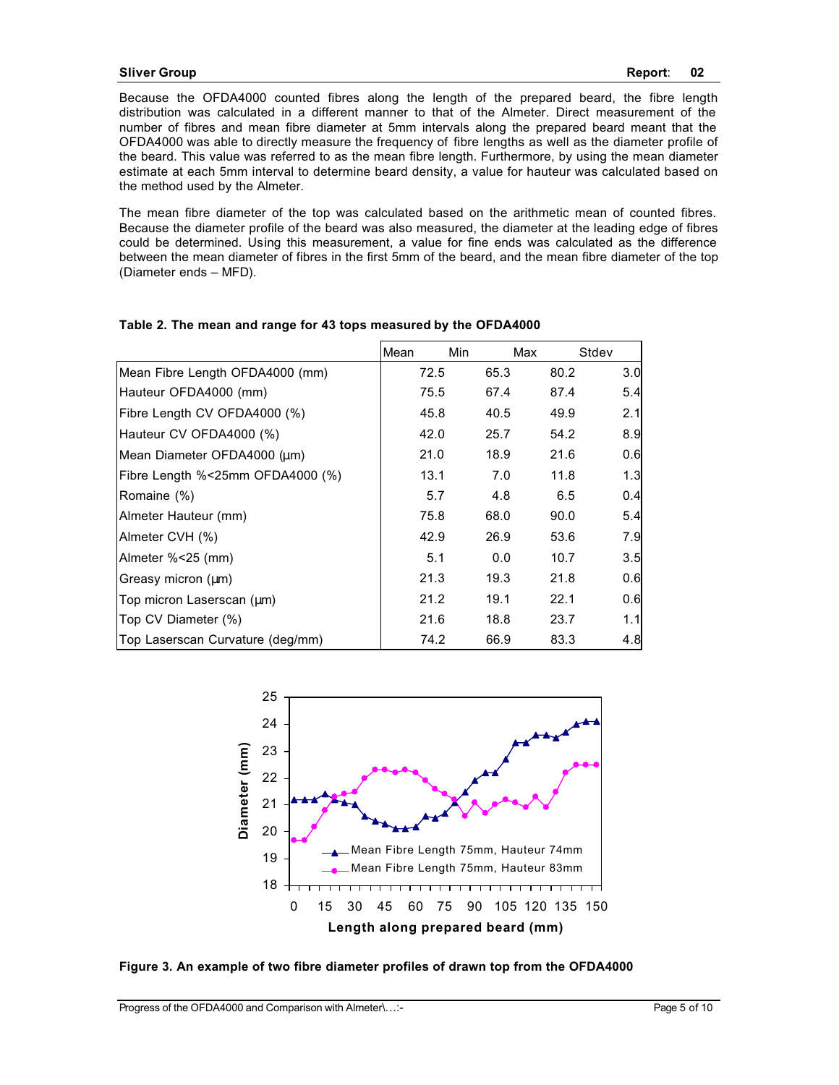Because the OFDA4000 counted fibres along the length of the prepared beard, the fibre length distribution was calculated in a different manner to that of the Almeter. Direct measurement of the number of fibres and mean fibre diameter at 5mm intervals along the prepared beard meant that the OFDA4000 was able to directly measure the frequency of fibre lengths as well as the diameter profile of the beard. This value was referred to as the mean fibre length. Furthermore, by using the mean diameter estimate at each 5mm interval to determine beard density, a value for hauteur was calculated based on the method used by the Almeter.

The mean fibre diameter of the top was calculated based on the arithmetic mean of counted fibres. Because the diameter profile of the beard was also measured, the diameter at the leading edge of fibres could be determined. Using this measurement, a value for fine ends was calculated as the difference between the mean diameter of fibres in the first 5mm of the beard, and the mean fibre diameter of the top (Diameter ends – MFD).

|                                  | Mean | <b>Min</b> | Max  | Stdev |
|----------------------------------|------|------------|------|-------|
| Mean Fibre Length OFDA4000 (mm)  | 72.5 | 65.3       | 80.2 | 3.0   |
| Hauteur OFDA4000 (mm)            | 75.5 | 67.4       | 87.4 | 5.4   |
| Fibre Length CV OFDA4000 (%)     | 45.8 | 40.5       | 49.9 | 2.1   |
| Hauteur CV OFDA4000 (%)          | 42.0 | 25.7       | 54.2 | 8.9   |
| Mean Diameter OFDA4000 (um)      | 21.0 | 18.9       | 21.6 | 0.6   |
| Fibre Length %<25mm OFDA4000 (%) | 13.1 | 7.0        | 11.8 | 1.3   |
| Romaine (%)                      | 5.7  | 4.8        | 6.5  | 0.4   |
| Almeter Hauteur (mm)             | 75.8 | 68.0       | 90.0 | 5.4   |
| Almeter CVH (%)                  | 42.9 | 26.9       | 53.6 | 7.9   |
| Almeter %<25 (mm)                | 5.1  | 0.0        | 10.7 | 3.5   |
| Greasy micron $(\mu m)$          | 21.3 | 19.3       | 21.8 | 0.6   |
| Top micron Laserscan (μm)        | 21.2 | 19.1       | 22.1 | 0.6   |
| Top CV Diameter (%)              | 21.6 | 18.8       | 23.7 | 1.1   |
| Top Laserscan Curvature (deg/mm) | 74.2 | 66.9       | 83.3 | 4.8   |

### **Table 2. The mean and range for 43 tops measured by the OFDA4000**



**Figure 3. An example of two fibre diameter profiles of drawn top from the OFDA4000**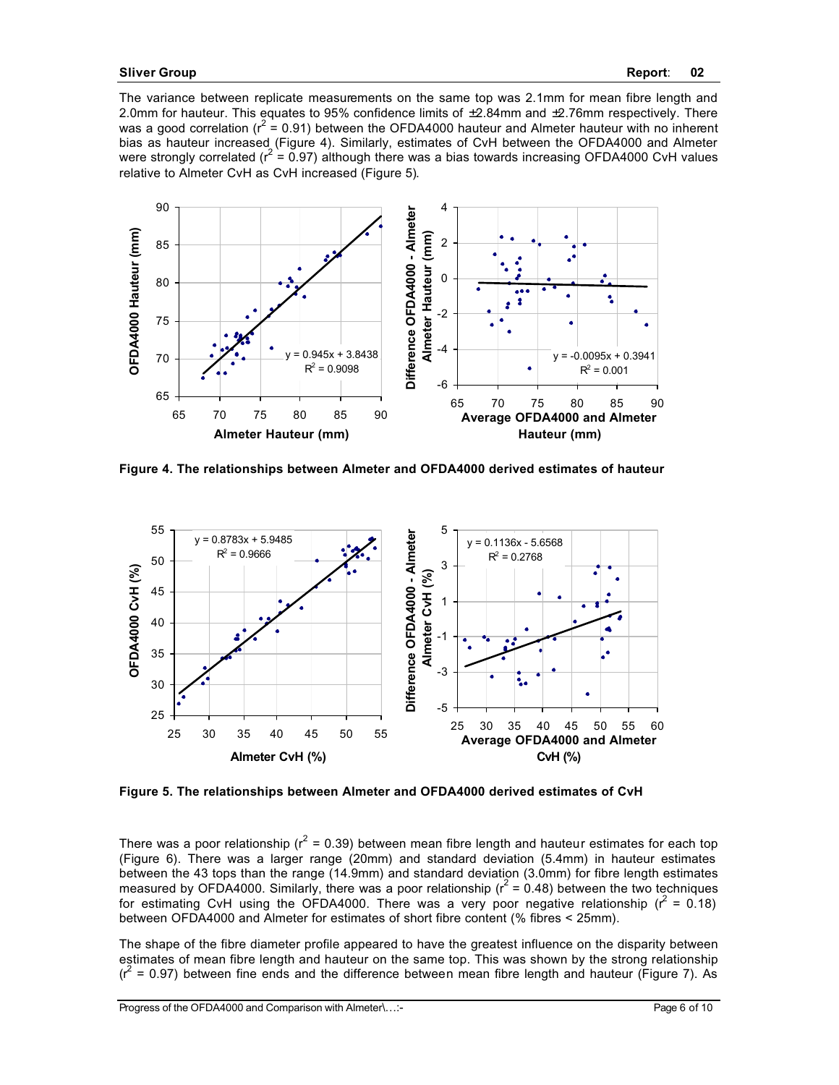The variance between replicate measurements on the same top was 2.1mm for mean fibre length and 2.0mm for hauteur. This equates to 95% confidence limits of  $\pm 2.84$ mm and  $\pm 2.76$ mm respectively. There was a good correlation ( $r^2$  = 0.91) between the OFDA4000 hauteur and Almeter hauteur with no inherent bias as hauteur increased (Figure 4). Similarly, estimates of CvH between the OFDA4000 and Almeter were strongly correlated ( $r^2 = 0.97$ ) although there was a bias towards increasing OFDA4000 CvH values relative to Almeter CvH as CvH increased (Figure 5).



**Figure 4. The relationships between Almeter and OFDA4000 derived estimates of hauteur** 



**Figure 5. The relationships between Almeter and OFDA4000 derived estimates of CvH** 

There was a poor relationship ( $r^2$  = 0.39) between mean fibre length and hauteur estimates for each top (Figure 6). There was a larger range (20mm) and standard deviation (5.4mm) in hauteur estimates between the 43 tops than the range (14.9mm) and standard deviation (3.0mm) for fibre length estimates measured by OFDA4000. Similarly, there was a poor relationship ( $r^2$  = 0.48) between the two techniques for estimating CvH using the OFDA4000. There was a very poor negative relationship ( $r^2$  = 0.18) between OFDA4000 and Almeter for estimates of short fibre content (% fibres < 25mm).

The shape of the fibre diameter profile appeared to have the greatest influence on the disparity between estimates of mean fibre length and hauteur on the same top. This was shown by the strong relationship  $(r^2 = 0.97)$  between fine ends and the difference between mean fibre length and hauteur (Figure 7). As

Progress of the OFDA4000 and Comparison with Almeter\…:- Page 6 of 10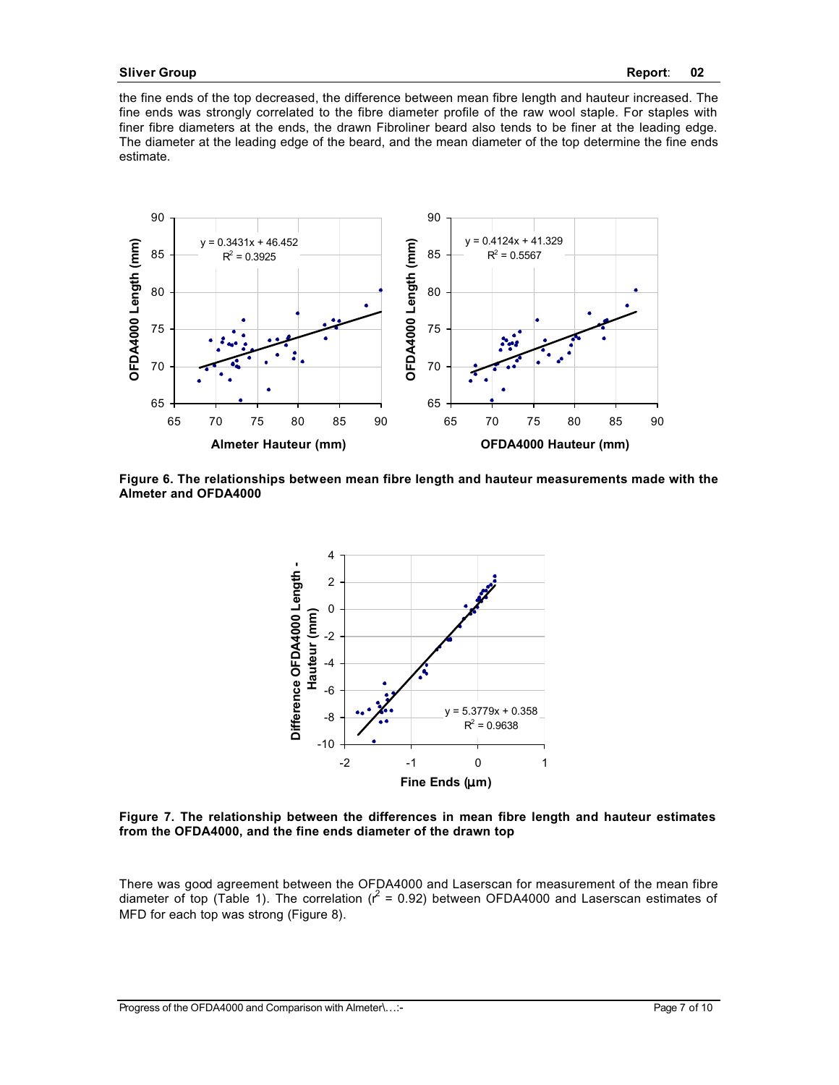the fine ends of the top decreased, the difference between mean fibre length and hauteur increased. The fine ends was strongly correlated to the fibre diameter profile of the raw wool staple. For staples with finer fibre diameters at the ends, the drawn Fibroliner beard also tends to be finer at the leading edge. The diameter at the leading edge of the beard, and the mean diameter of the top determine the fine ends estimate.



**Figure 6. The relationships between mean fibre length and hauteur measurements made with the Almeter and OFDA4000**



**Figure 7. The relationship between the differences in mean fibre length and hauteur estimates from the OFDA4000, and the fine ends diameter of the drawn top** 

There was good agreement between the OFDA4000 and Laserscan for measurement of the mean fibre diameter of top (Table 1). The correlation ( $t^2$  = 0.92) between OFDA4000 and Laserscan estimates of MFD for each top was strong (Figure 8).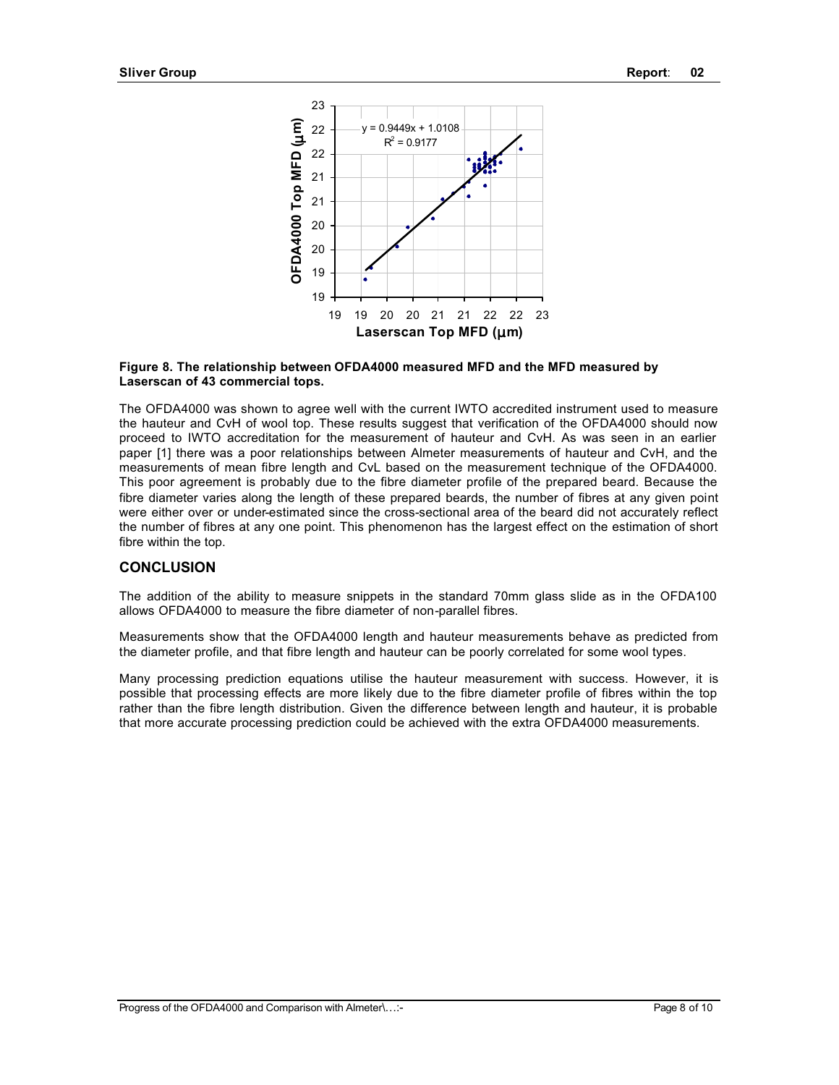

### **Figure 8. The relationship between OFDA4000 measured MFD and the MFD measured by Laserscan of 43 commercial tops.**

The OFDA4000 was shown to agree well with the current IWTO accredited instrument used to measure the hauteur and CvH of wool top. These results suggest that verification of the OFDA4000 should now proceed to IWTO accreditation for the measurement of hauteur and CvH. As was seen in an earlier paper [1] there was a poor relationships between Almeter measurements of hauteur and CvH, and the measurements of mean fibre length and CvL based on the measurement technique of the OFDA4000. This poor agreement is probably due to the fibre diameter profile of the prepared beard. Because the fibre diameter varies along the length of these prepared beards, the number of fibres at any given point were either over or under-estimated since the cross-sectional area of the beard did not accurately reflect the number of fibres at any one point. This phenomenon has the largest effect on the estimation of short fibre within the top.

### **CONCLUSION**

The addition of the ability to measure snippets in the standard 70mm glass slide as in the OFDA100 allows OFDA4000 to measure the fibre diameter of non-parallel fibres.

Measurements show that the OFDA4000 length and hauteur measurements behave as predicted from the diameter profile, and that fibre length and hauteur can be poorly correlated for some wool types.

Many processing prediction equations utilise the hauteur measurement with success. However, it is possible that processing effects are more likely due to the fibre diameter profile of fibres within the top rather than the fibre length distribution. Given the difference between length and hauteur, it is probable that more accurate processing prediction could be achieved with the extra OFDA4000 measurements.